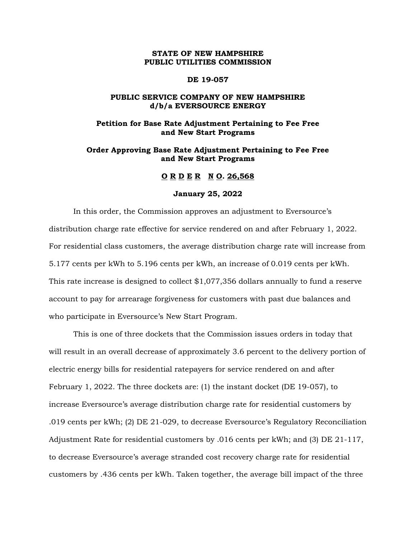# **STATE OF NEW HAMPSHIRE PUBLIC UTILITIES COMMISSION**

#### **DE 19-057**

# **PUBLIC SERVICE COMPANY OF NEW HAMPSHIRE d/b/a EVERSOURCE ENERGY**

# **Petition for Base Rate Adjustment Pertaining to Fee Free and New Start Programs**

# **Order Approving Base Rate Adjustment Pertaining to Fee Free and New Start Programs**

# **O R D E R N O. 26,568**

#### **January 25, 2022**

In this order, the Commission approves an adjustment to Eversource's distribution charge rate effective for service rendered on and after February 1, 2022. For residential class customers, the average distribution charge rate will increase from 5.177 cents per kWh to 5.196 cents per kWh, an increase of 0.019 cents per kWh. This rate increase is designed to collect \$1,077,356 dollars annually to fund a reserve account to pay for arrearage forgiveness for customers with past due balances and who participate in Eversource's New Start Program.

This is one of three dockets that the Commission issues orders in today that will result in an overall decrease of approximately 3.6 percent to the delivery portion of electric energy bills for residential ratepayers for service rendered on and after February 1, 2022. The three dockets are: (1) the instant docket (DE 19-057), to increase Eversource's average distribution charge rate for residential customers by .019 cents per kWh; (2) DE 21-029, to decrease Eversource's Regulatory Reconciliation Adjustment Rate for residential customers by .016 cents per kWh; and (3) DE 21-117, to decrease Eversource's average stranded cost recovery charge rate for residential customers by .436 cents per kWh. Taken together, the average bill impact of the three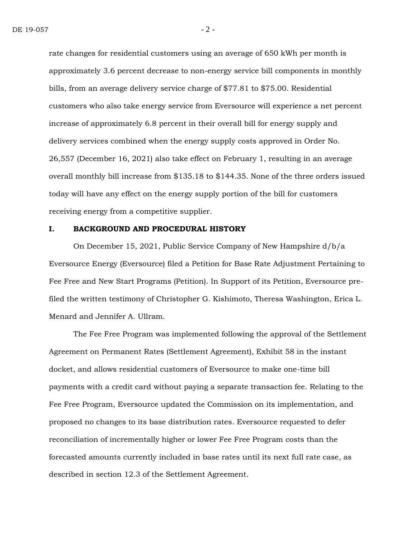rate changes for residential customers using an average of 650 kWh per month is approximately 3.6 percent decrease to non-energy service bill components in monthly bills, from an average delivery service charge of \$77.81 to \$75.00. Residential customers who also take energy service from Eversource will experience a net percent increase of approximately 6.8 percent in their overall bill for energy supply and delivery services combined when the energy supply costs approved in Order No. 26,557 (December 16, 2021) also take effect on February 1, resulting in an average overall monthly bill increase from \$135.18 to \$144.35. None of the three orders issued today will have any effect on the energy supply portion of the bill for customers receiving energy from a competitive supplier.

#### **I. BACKGROUND AND PROCEDURAL HISTORY**

On December 15, 2021, Public Service Company of New Hampshire d/b/a Eversource Energy (Eversource) filed a Petition for Base Rate Adjustment Pertaining to Fee Free and New Start Programs (Petition). In Support of its Petition, Eversource prefiled the written testimony of Christopher G. Kishimoto, Theresa Washington, Erica L. Menard and Jennifer A. Ullram.

The Fee Free Program was implemented following the approval of the Settlement Agreement on Permanent Rates (Settlement Agreement), Exhibit 58 in the instant docket, and allows residential customers of Eversource to make one-time bill payments with a credit card without paying a separate transaction fee. Relating to the Fee Free Program, Eversource updated the Commission on its implementation, and proposed no changes to its base distribution rates. Eversource requested to defer reconciliation of incrementally higher or lower Fee Free Program costs than the forecasted amounts currently included in base rates until its next full rate case, as described in section 12.3 of the Settlement Agreement.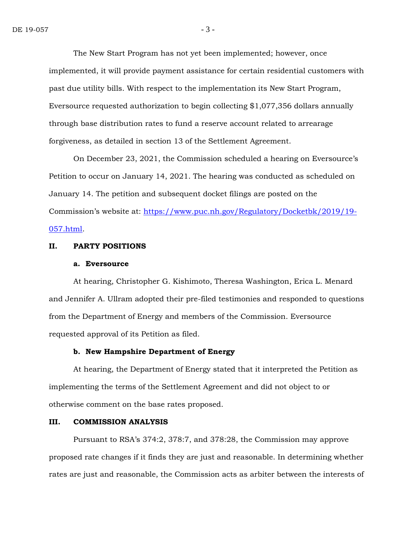The New Start Program has not yet been implemented; however, once implemented, it will provide payment assistance for certain residential customers with past due utility bills. With respect to the implementation its New Start Program, Eversource requested authorization to begin collecting \$1,077,356 dollars annually through base distribution rates to fund a reserve account related to arrearage forgiveness, as detailed in section 13 of the Settlement Agreement.

On December 23, 2021, the Commission scheduled a hearing on Eversource's Petition to occur on January 14, 2021. The hearing was conducted as scheduled on January 14. The petition and subsequent docket filings are posted on the Commission's website at: [https://www.puc.nh.gov/Regulatory/Docketbk/2019/19-](https://www.puc.nh.gov/Regulatory/Docketbk/2019/19-057.html) [057.html.](https://www.puc.nh.gov/Regulatory/Docketbk/2019/19-057.html)

# **II. PARTY POSITIONS**

#### **a. Eversource**

At hearing, Christopher G. Kishimoto, Theresa Washington, Erica L. Menard and Jennifer A. Ullram adopted their pre-filed testimonies and responded to questions from the Department of Energy and members of the Commission. Eversource requested approval of its Petition as filed.

### **b. New Hampshire Department of Energy**

At hearing, the Department of Energy stated that it interpreted the Petition as implementing the terms of the Settlement Agreement and did not object to or otherwise comment on the base rates proposed.

### **III. COMMISSION ANALYSIS**

Pursuant to RSA's 374:2, 378:7, and 378:28, the Commission may approve proposed rate changes if it finds they are just and reasonable. In determining whether rates are just and reasonable, the Commission acts as arbiter between the interests of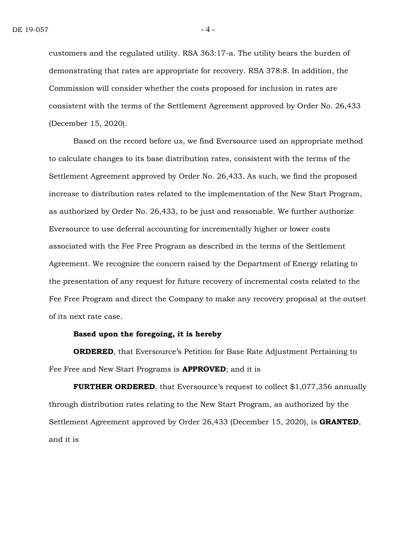customers and the regulated utility. RSA 363:17-a. The utility bears the burden of demonstrating that rates are appropriate for recovery. RSA 378:8. In addition, the Commission will consider whether the costs proposed for inclusion in rates are consistent with the terms of the Settlement Agreement approved by Order No. 26,433 (December 15, 2020).

Based on the record before us, we find Eversource used an appropriate method to calculate changes to its base distribution rates, consistent with the terms of the Settlement Agreement approved by Order No. 26,433. As such, we find the proposed increase to distribution rates related to the implementation of the New Start Program, as authorized by Order No. 26,433, to be just and reasonable. We further authorize Eversource to use deferral accounting for incrementally higher or lower costs associated with the Fee Free Program as described in the terms of the Settlement Agreement. We recognize the concern raised by the Department of Energy relating to the presentation of any request for future recovery of incremental costs related to the Fee Free Program and direct the Company to make any recovery proposal at the outset of its next rate case.

# **Based upon the foregoing, it is hereby**

**ORDERED**, that Eversource's Petition for Base Rate Adjustment Pertaining to Fee Free and New Start Programs is **APPROVED**; and it is

**FURTHER ORDERED**, that Eversource's request to collect \$1,077,356 annually through distribution rates relating to the New Start Program, as authorized by the Settlement Agreement approved by Order 26,433 (December 15, 2020), is **GRANTED**, and it is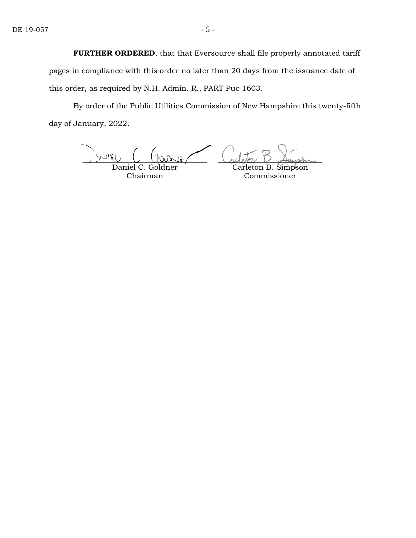**FURTHER ORDERED**, that that Eversource shall file properly annotated tariff pages in compliance with this order no later than 20 days from the issuance date of this order, as required by N.H. Admin. R., PART Puc 1603.

By order of the Public Utilities Commission of New Hampshire this twenty-fifth day of January, 2022.

 $\mathbb{E}$ WUIEI Daniel C. Goldner

Chairman

Carleton B. Simpson Commissioner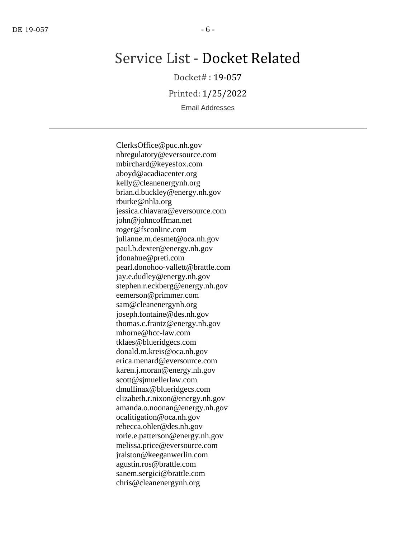# Service List - Docket Related

Docket# : 19-057

Printed: 1/25/2022

Email Addresses

ClerksOffice@puc.nh.gov nhregulatory@eversource.com mbirchard@keyesfox.com aboyd@acadiacenter.org kelly@cleanenergynh.org brian.d.buckley@energy.nh.gov rburke@nhla.org jessica.chiavara@eversource.com john@johncoffman.net roger@fsconline.com julianne.m.desmet@oca.nh.gov paul.b.dexter@energy.nh.gov jdonahue@preti.com pearl.donohoo-vallett@brattle.com jay.e.dudley@energy.nh.gov stephen.r.eckberg@energy.nh.gov eemerson@primmer.com sam@cleanenergynh.org joseph.fontaine@des.nh.gov thomas.c.frantz@energy.nh.gov mhorne@hcc-law.com tklaes@blueridgecs.com donald.m.kreis@oca.nh.gov erica.menard@eversource.com karen.j.moran@energy.nh.gov scott@sjmuellerlaw.com dmullinax@blueridgecs.com elizabeth.r.nixon@energy.nh.gov amanda.o.noonan@energy.nh.gov ocalitigation@oca.nh.gov rebecca.ohler@des.nh.gov rorie.e.patterson@energy.nh.gov melissa.price@eversource.com jralston@keeganwerlin.com agustin.ros@brattle.com sanem.sergici@brattle.com chris@cleanenergynh.org